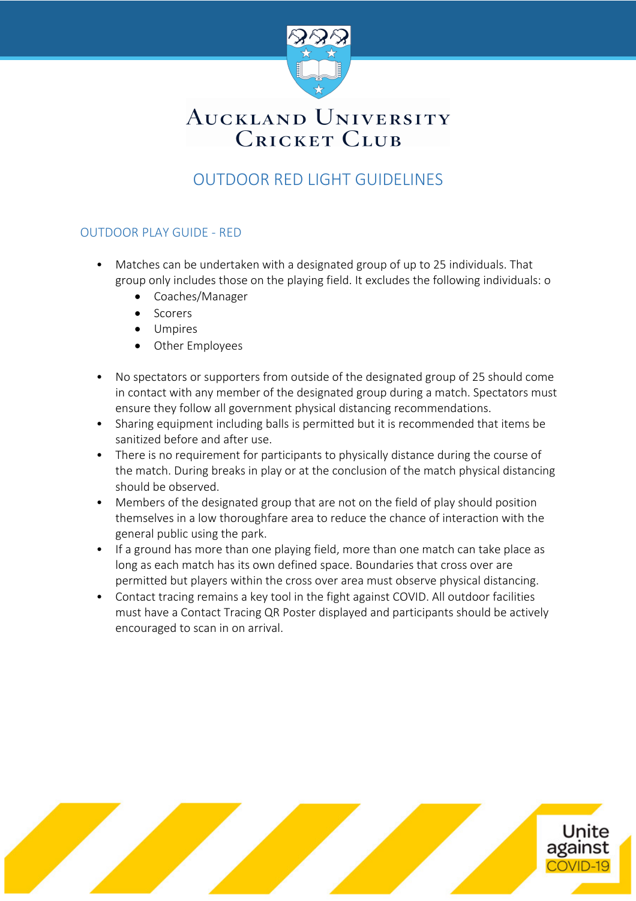

# AUCKLAND UNIVERSITY **CRICKET CLUB**

### OUTDOOR RED LIGHT GUIDELINES

### OUTDOOR PLAY GUIDE - RED

- Matches can be undertaken with a designated group of up to 25 individuals. That group only includes those on the playing field. It excludes the following individuals: o
	- Coaches/Manager
	- Scorers
	- Umpires
	- Other Employees
- No spectators or supporters from outside of the designated group of 25 should come in contact with any member of the designated group during a match. Spectators must ensure they follow all government physical distancing recommendations.
- Sharing equipment including balls is permitted but it is recommended that items be sanitized before and after use.
- There is no requirement for participants to physically distance during the course of the match. During breaks in play or at the conclusion of the match physical distancing should be observed.
- Members of the designated group that are not on the field of play should position themselves in a low thoroughfare area to reduce the chance of interaction with the general public using the park.
- If a ground has more than one playing field, more than one match can take place as long as each match has its own defined space. Boundaries that cross over are permitted but players within the cross over area must observe physical distancing.
- Contact tracing remains a key tool in the fight against COVID. All outdoor facilities must have a Contact Tracing QR Poster displayed and participants should be actively encouraged to scan in on arrival.